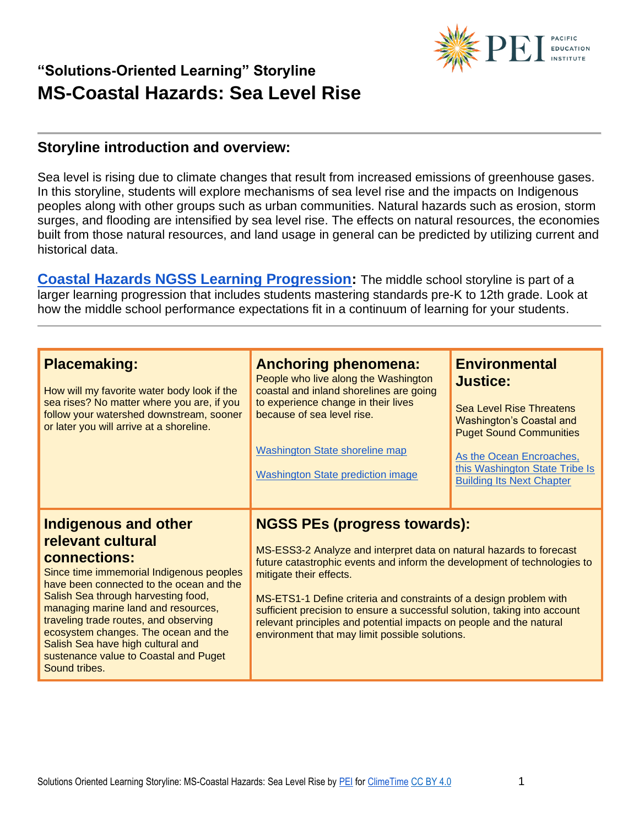

#### **Storyline introduction and overview:**

Sea level is rising due to climate changes that result from increased emissions of greenhouse gases. In this storyline, students will explore mechanisms of sea level rise and the impacts on Indigenous peoples along with other groups such as urban communities. Natural hazards such as erosion, storm surges, and flooding are intensified by sea level rise. The effects on natural resources, the economies built from those natural resources, and land usage in general can be predicted by utilizing current and historical data.

**[Coastal Hazards NGSS Learning Progression:](https://pacificeductioninstitute.sharepoint.com/:x:/s/Program/Ectwt0BNEIZJp8v5VrB2Hu4Blxk6i2b6Kx9MkofojSim7g?e=zGVi6Z)** The middle school storyline is part of a larger learning progression that includes students mastering standards pre-K to 12th grade. Look at how the middle school performance expectations fit in a continuum of learning for your students.

| <b>Placemaking:</b><br>How will my favorite water body look if the<br>sea rises? No matter where you are, if you<br>follow your watershed downstream, sooner<br>or later you will arrive at a shoreline.                                                                                                                                                                                                               | <b>Anchoring phenomena:</b><br>People who live along the Washington<br>coastal and inland shorelines are going<br>to experience change in their lives<br>because of sea level rise.<br><b>Washington State shoreline map</b><br><b>Washington State prediction image</b>                                                                                                                                                                                                                      | <b>Environmental</b><br><b>Justice:</b><br><b>Sea Level Rise Threatens</b><br><b>Washington's Coastal and</b><br><b>Puget Sound Communities</b><br>As the Ocean Encroaches,<br>this Washington State Tribe Is<br><b>Building Its Next Chapter</b> |
|------------------------------------------------------------------------------------------------------------------------------------------------------------------------------------------------------------------------------------------------------------------------------------------------------------------------------------------------------------------------------------------------------------------------|-----------------------------------------------------------------------------------------------------------------------------------------------------------------------------------------------------------------------------------------------------------------------------------------------------------------------------------------------------------------------------------------------------------------------------------------------------------------------------------------------|---------------------------------------------------------------------------------------------------------------------------------------------------------------------------------------------------------------------------------------------------|
| <b>Indigenous and other</b><br>relevant cultural<br>connections:<br>Since time immemorial Indigenous peoples<br>have been connected to the ocean and the<br>Salish Sea through harvesting food,<br>managing marine land and resources,<br>traveling trade routes, and observing<br>ecosystem changes. The ocean and the<br>Salish Sea have high cultural and<br>sustenance value to Coastal and Puget<br>Sound tribes. | <b>NGSS PEs (progress towards):</b><br>MS-ESS3-2 Analyze and interpret data on natural hazards to forecast<br>future catastrophic events and inform the development of technologies to<br>mitigate their effects.<br>MS-ETS1-1 Define criteria and constraints of a design problem with<br>sufficient precision to ensure a successful solution, taking into account<br>relevant principles and potential impacts on people and the natural<br>environment that may limit possible solutions. |                                                                                                                                                                                                                                                   |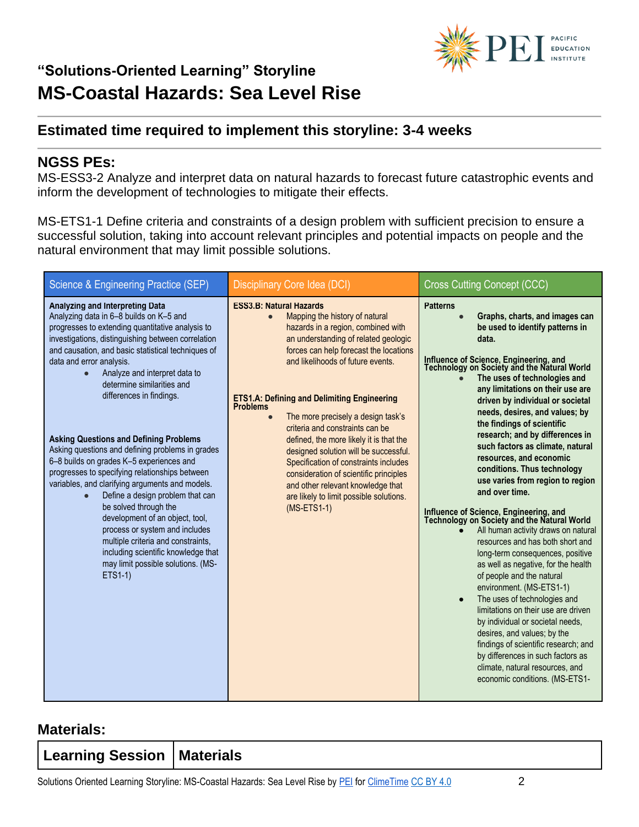

### **Estimated time required to implement this storyline: 3-4 weeks**

#### **NGSS PEs:**

MS-ESS3-2 Analyze and interpret data on natural hazards to forecast future catastrophic events and inform the development of technologies to mitigate their effects.

MS-ETS1-1 Define criteria and constraints of a design problem with sufficient precision to ensure a successful solution, taking into account relevant principles and potential impacts on people and the natural environment that may limit possible solutions.

| Science & Engineering Practice (SEP)                                                                                                                                                                                                                                                                                                                                                                                                                                                                                                                                                                                                                                                                                                                                                                                                                                                                 | <b>Disciplinary Core Idea (DCI)</b>                                                                                                                                                                                                                                                                                                                                                                                                                                                                                                                                                                                                                                               | <b>Cross Cutting Concept (CCC)</b>                                                                                                                                                                                                                                                                                                                                                                                                                                                                                                                                                                                                                                                                                                                                                                                                                                                                                                                                                                                                                                                                                                                                     |
|------------------------------------------------------------------------------------------------------------------------------------------------------------------------------------------------------------------------------------------------------------------------------------------------------------------------------------------------------------------------------------------------------------------------------------------------------------------------------------------------------------------------------------------------------------------------------------------------------------------------------------------------------------------------------------------------------------------------------------------------------------------------------------------------------------------------------------------------------------------------------------------------------|-----------------------------------------------------------------------------------------------------------------------------------------------------------------------------------------------------------------------------------------------------------------------------------------------------------------------------------------------------------------------------------------------------------------------------------------------------------------------------------------------------------------------------------------------------------------------------------------------------------------------------------------------------------------------------------|------------------------------------------------------------------------------------------------------------------------------------------------------------------------------------------------------------------------------------------------------------------------------------------------------------------------------------------------------------------------------------------------------------------------------------------------------------------------------------------------------------------------------------------------------------------------------------------------------------------------------------------------------------------------------------------------------------------------------------------------------------------------------------------------------------------------------------------------------------------------------------------------------------------------------------------------------------------------------------------------------------------------------------------------------------------------------------------------------------------------------------------------------------------------|
| Analyzing and Interpreting Data<br>Analyzing data in 6-8 builds on K-5 and<br>progresses to extending quantitative analysis to<br>investigations, distinguishing between correlation<br>and causation, and basic statistical techniques of<br>data and error analysis.<br>Analyze and interpret data to<br>$\bullet$<br>determine similarities and<br>differences in findings.<br><b>Asking Questions and Defining Problems</b><br>Asking questions and defining problems in grades<br>6-8 builds on grades K-5 experiences and<br>progresses to specifying relationships between<br>variables, and clarifying arguments and models.<br>Define a design problem that can<br>be solved through the<br>development of an object, tool,<br>process or system and includes<br>multiple criteria and constraints,<br>including scientific knowledge that<br>may limit possible solutions. (MS-<br>ETS1-1) | <b>ESS3.B: Natural Hazards</b><br>Mapping the history of natural<br>$\bullet$<br>hazards in a region, combined with<br>an understanding of related geologic<br>forces can help forecast the locations<br>and likelihoods of future events.<br><b>ETS1.A: Defining and Delimiting Engineering</b><br><b>Problems</b><br>The more precisely a design task's<br>$\bullet$<br>criteria and constraints can be<br>defined, the more likely it is that the<br>designed solution will be successful.<br>Specification of constraints includes<br>consideration of scientific principles<br>and other relevant knowledge that<br>are likely to limit possible solutions.<br>$(MS-ETS1-1)$ | <b>Patterns</b><br>Graphs, charts, and images can<br>be used to identify patterns in<br>data.<br>Influence of Science, Engineering, and<br>Technology on Society and the Natural World<br>The uses of technologies and<br>any limitations on their use are<br>driven by individual or societal<br>needs, desires, and values; by<br>the findings of scientific<br>research; and by differences in<br>such factors as climate, natural<br>resources, and economic<br>conditions. Thus technology<br>use varies from region to region<br>and over time.<br>Influence of Science, Engineering, and<br>Technology on Society and the Natural World<br>All human activity draws on natural<br>resources and has both short and<br>long-term consequences, positive<br>as well as negative, for the health<br>of people and the natural<br>environment. (MS-ETS1-1)<br>The uses of technologies and<br>$\bullet$<br>limitations on their use are driven<br>by individual or societal needs,<br>desires, and values; by the<br>findings of scientific research; and<br>by differences in such factors as<br>climate, natural resources, and<br>economic conditions. (MS-ETS1- |

#### **Materials:**

| Learning Session   Materials |  |
|------------------------------|--|
|                              |  |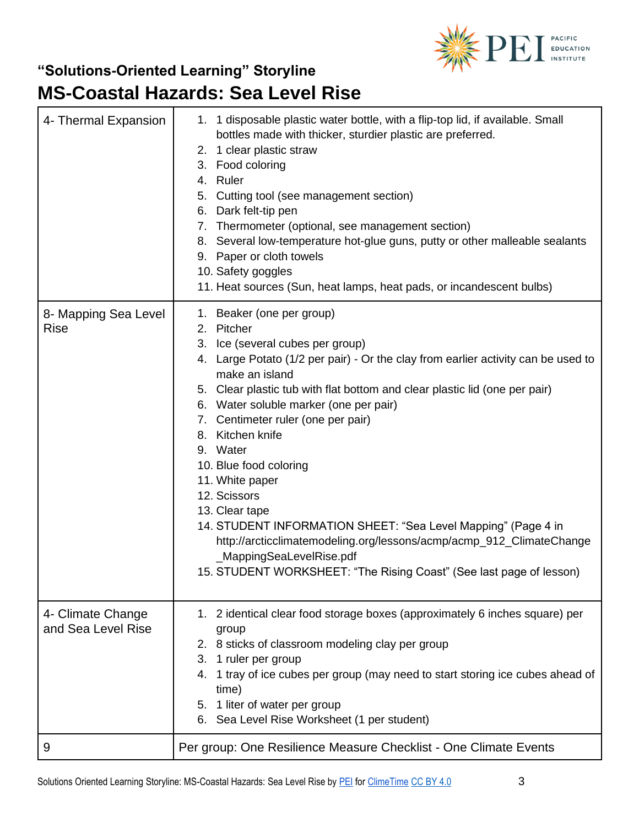

| 4- Thermal Expansion                    | 1. 1 disposable plastic water bottle, with a flip-top lid, if available. Small<br>bottles made with thicker, sturdier plastic are preferred.<br>2. 1 clear plastic straw<br>3. Food coloring<br>4. Ruler<br>5. Cutting tool (see management section)<br>6. Dark felt-tip pen<br>7. Thermometer (optional, see management section)<br>8. Several low-temperature hot-glue guns, putty or other malleable sealants<br>9. Paper or cloth towels<br>10. Safety goggles<br>11. Heat sources (Sun, heat lamps, heat pads, or incandescent bulbs)                                                                                                                                                                  |
|-----------------------------------------|-------------------------------------------------------------------------------------------------------------------------------------------------------------------------------------------------------------------------------------------------------------------------------------------------------------------------------------------------------------------------------------------------------------------------------------------------------------------------------------------------------------------------------------------------------------------------------------------------------------------------------------------------------------------------------------------------------------|
| 8- Mapping Sea Level<br><b>Rise</b>     | 1. Beaker (one per group)<br>2. Pitcher<br>3. Ice (several cubes per group)<br>4. Large Potato (1/2 per pair) - Or the clay from earlier activity can be used to<br>make an island<br>5. Clear plastic tub with flat bottom and clear plastic lid (one per pair)<br>6. Water soluble marker (one per pair)<br>7. Centimeter ruler (one per pair)<br>8. Kitchen knife<br>9. Water<br>10. Blue food coloring<br>11. White paper<br>12. Scissors<br>13. Clear tape<br>14. STUDENT INFORMATION SHEET: "Sea Level Mapping" (Page 4 in<br>http://arcticclimatemodeling.org/lessons/acmp/acmp_912_ClimateChange<br>_MappingSeaLevelRise.pdf<br>15. STUDENT WORKSHEET: "The Rising Coast" (See last page of lesson) |
| 4- Climate Change<br>and Sea Level Rise | 1. 2 identical clear food storage boxes (approximately 6 inches square) per<br>group<br>2. 8 sticks of classroom modeling clay per group<br>3. 1 ruler per group<br>4. 1 tray of ice cubes per group (may need to start storing ice cubes ahead of<br>time)<br>5. 1 liter of water per group<br>6. Sea Level Rise Worksheet (1 per student)                                                                                                                                                                                                                                                                                                                                                                 |
| 9                                       | Per group: One Resilience Measure Checklist - One Climate Events                                                                                                                                                                                                                                                                                                                                                                                                                                                                                                                                                                                                                                            |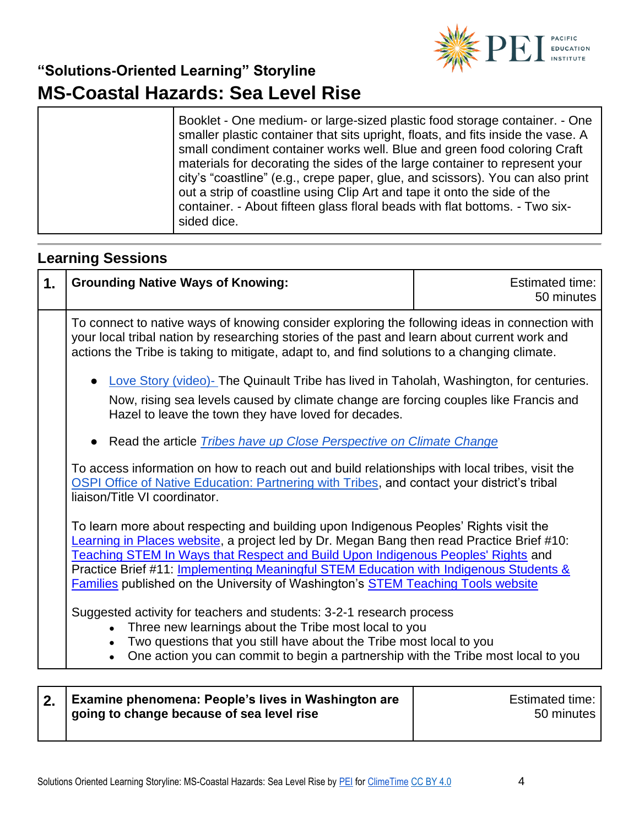

|  | Booklet - One medium- or large-sized plastic food storage container. - One<br>smaller plastic container that sits upright, floats, and fits inside the vase. A<br>small condiment container works well. Blue and green food coloring Craft<br>materials for decorating the sides of the large container to represent your<br>city's "coastline" (e.g., crepe paper, glue, and scissors). You can also print<br>out a strip of coastline using Clip Art and tape it onto the side of the<br>container. - About fifteen glass floral beads with flat bottoms. - Two six-<br>sided dice. |
|--|---------------------------------------------------------------------------------------------------------------------------------------------------------------------------------------------------------------------------------------------------------------------------------------------------------------------------------------------------------------------------------------------------------------------------------------------------------------------------------------------------------------------------------------------------------------------------------------|
|--|---------------------------------------------------------------------------------------------------------------------------------------------------------------------------------------------------------------------------------------------------------------------------------------------------------------------------------------------------------------------------------------------------------------------------------------------------------------------------------------------------------------------------------------------------------------------------------------|

### **Learning Sessions**

| 1. | <b>Grounding Native Ways of Knowing:</b>                                                                                                                                                                                                                                                                                                                                                                                                                   | <b>Estimated time:</b><br>50 minutes |
|----|------------------------------------------------------------------------------------------------------------------------------------------------------------------------------------------------------------------------------------------------------------------------------------------------------------------------------------------------------------------------------------------------------------------------------------------------------------|--------------------------------------|
|    | To connect to native ways of knowing consider exploring the following ideas in connection with<br>your local tribal nation by researching stories of the past and learn about current work and<br>actions the Tribe is taking to mitigate, adapt to, and find solutions to a changing climate.                                                                                                                                                             |                                      |
|    | Love Story (video)- The Quinault Tribe has lived in Taholah, Washington, for centuries.<br>Now, rising sea levels caused by climate change are forcing couples like Francis and<br>Hazel to leave the town they have loved for decades.<br>• Read the article <i>Tribes have up Close Perspective on Climate Change</i>                                                                                                                                    |                                      |
|    | To access information on how to reach out and build relationships with local tribes, visit the<br><b>OSPI Office of Native Education: Partnering with Tribes, and contact your district's tribal</b><br>liaison/Title VI coordinator.                                                                                                                                                                                                                      |                                      |
|    | To learn more about respecting and building upon Indigenous Peoples' Rights visit the<br>Learning in Places website, a project led by Dr. Megan Bang then read Practice Brief #10:<br>Teaching STEM In Ways that Respect and Build Upon Indigenous Peoples' Rights and<br>Practice Brief #11: Implementing Meaningful STEM Education with Indigenous Students &<br><b>Families published on the University of Washington's STEM Teaching Tools website</b> |                                      |
|    | Suggested activity for teachers and students: 3-2-1 research process<br>Three new learnings about the Tribe most local to you<br>Two questions that you still have about the Tribe most local to you<br>One action you can commit to begin a partnership with the Tribe most local to you                                                                                                                                                                  |                                      |

| 2. Examine phenomena: People's lives in Washington are<br>going to change because of sea level rise | Estimated time:  <br>50 minutes |
|-----------------------------------------------------------------------------------------------------|---------------------------------|
|                                                                                                     |                                 |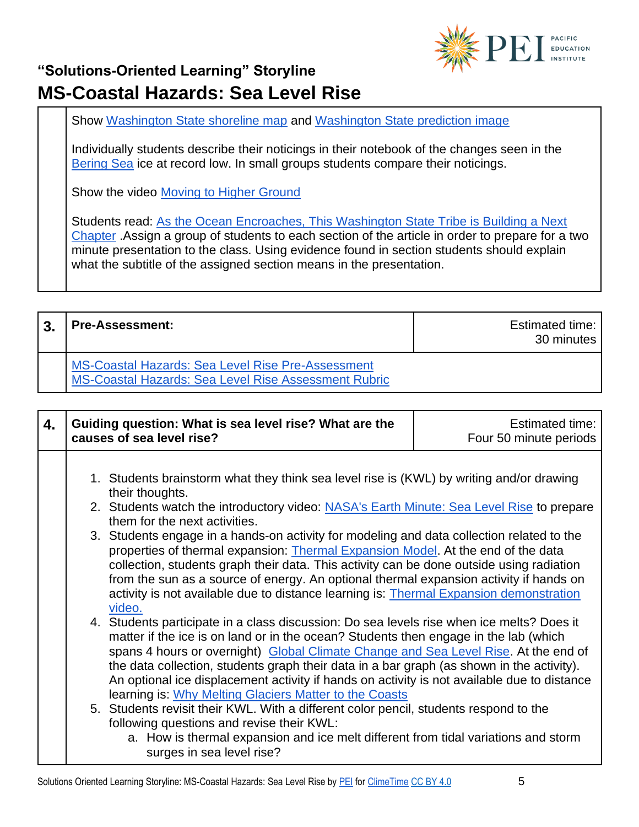

Show [Washington State shoreline map](https://www.eopugetsound.org/sites/default/files/styles/bodywidth/public/maps/erma_deth_all_extent_streets_800x800.png) and [Washington State prediction image](https://s3-us-west-2.amazonaws.com/uw-s3-cdn/wp-content/uploads/sites/6/2018/07/27153935/map_of_sites2.png)

Individually students describe their noticings in their notebook of the changes seen in the [Bering Sea](https://climate.nasa.gov/images-of-change?id=646#646-bering-sea-ice-at-record-low) ice at record low. In small groups students compare their noticings.

Show the video [Moving to Higher Ground](https://www.youtube.com/watch?v=2Kfz7j04ppw)

Students read: As the Ocean Encroaches, This Washington State Tribe is Building a Next [Chapter](https://www.nrdc.org/stories/ocean-encroaches-washington-state-tribe-building-its-next-chapter) .Assign a group of students to each section of the article in order to prepare for a two minute presentation to the class. Using evidence found in section students should explain what the subtitle of the assigned section means in the presentation.

| $\mathbf{3}$ | <b>Pre-Assessment:</b>                                                                                    | Estimated time:<br>30 minutes |
|--------------|-----------------------------------------------------------------------------------------------------------|-------------------------------|
|              | MS-Coastal Hazards: Sea Level Rise Pre-Assessment<br>MS-Coastal Hazards: Sea Level Rise Assessment Rubric |                               |

| 4. | Guiding question: What is sea level rise? What are the<br>causes of sea level rise?                                                                                                                                                                                                                                                                                                                                                                                                                                            | <b>Estimated time:</b><br>Four 50 minute periods |
|----|--------------------------------------------------------------------------------------------------------------------------------------------------------------------------------------------------------------------------------------------------------------------------------------------------------------------------------------------------------------------------------------------------------------------------------------------------------------------------------------------------------------------------------|--------------------------------------------------|
|    | 1. Students brainstorm what they think sea level rise is (KWL) by writing and/or drawing<br>their thoughts.<br>2. Students watch the introductory video: NASA's Earth Minute: Sea Level Rise to prepare<br>them for the next activities.<br>3. Students engage in a hands-on activity for modeling and data collection related to the<br>properties of thermal expansion: Thermal Expansion Model. At the end of the data<br>collection, students graph their data. This activity can be done outside using radiation          |                                                  |
|    | from the sun as a source of energy. An optional thermal expansion activity if hands on<br>activity is not available due to distance learning is: Thermal Expansion demonstration<br>video.                                                                                                                                                                                                                                                                                                                                     |                                                  |
|    | 4. Students participate in a class discussion: Do sea levels rise when ice melts? Does it<br>matter if the ice is on land or in the ocean? Students then engage in the lab (which<br>spans 4 hours or overnight) Global Climate Change and Sea Level Rise. At the end of<br>the data collection, students graph their data in a bar graph (as shown in the activity).<br>An optional ice displacement activity if hands on activity is not available due to distance<br>learning is: Why Melting Glaciers Matter to the Coasts |                                                  |
|    | 5. Students revisit their KWL. With a different color pencil, students respond to the<br>following questions and revise their KWL:<br>a. How is thermal expansion and ice melt different from tidal variations and storm<br>surges in sea level rise?                                                                                                                                                                                                                                                                          |                                                  |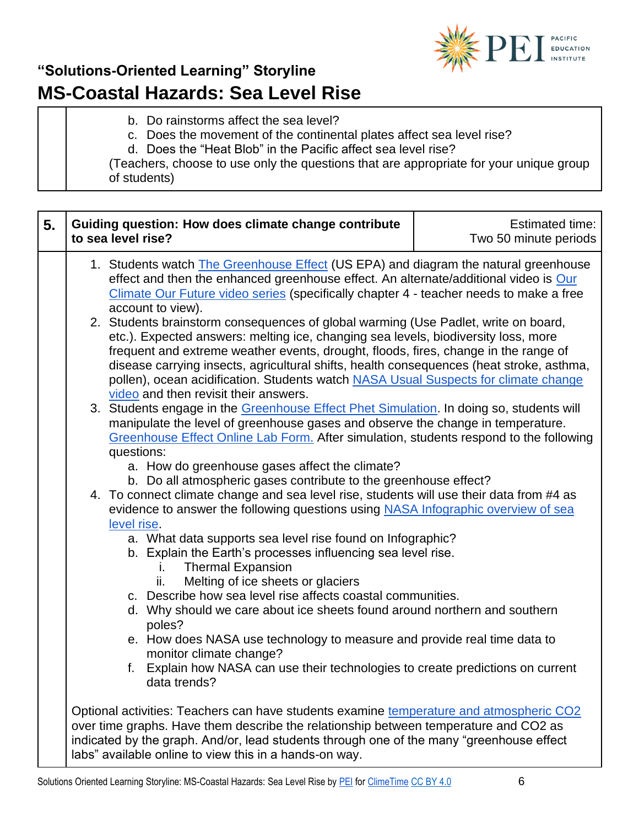

- b. Do rainstorms affect the sea level?
- c. Does the movement of the continental plates affect sea level rise?
- d. Does the "Heat Blob" in the Pacific affect sea level rise?

(Teachers, choose to use only the questions that are appropriate for your unique group of students)

| 5. |                                                                                                                                                                                                                                                                                                                                       | Guiding question: How does climate change contribute<br>to sea level rise?                                                                                                                                                                                                                                                                                                                                                                                                                  | Estimated time:<br>Two 50 minute periods |
|----|---------------------------------------------------------------------------------------------------------------------------------------------------------------------------------------------------------------------------------------------------------------------------------------------------------------------------------------|---------------------------------------------------------------------------------------------------------------------------------------------------------------------------------------------------------------------------------------------------------------------------------------------------------------------------------------------------------------------------------------------------------------------------------------------------------------------------------------------|------------------------------------------|
|    | 1. Students watch <b>The Greenhouse Effect</b> (US EPA) and diagram the natural greenhouse<br>effect and then the enhanced greenhouse effect. An alternate/additional video is Our<br>Climate Our Future video series (specifically chapter 4 - teacher needs to make a free<br>account to view).                                     |                                                                                                                                                                                                                                                                                                                                                                                                                                                                                             |                                          |
|    |                                                                                                                                                                                                                                                                                                                                       | 2. Students brainstorm consequences of global warming (Use Padlet, write on board,<br>etc.). Expected answers: melting ice, changing sea levels, biodiversity loss, more<br>frequent and extreme weather events, drought, floods, fires, change in the range of<br>disease carrying insects, agricultural shifts, health consequences (heat stroke, asthma,<br>pollen), ocean acidification. Students watch NASA Usual Suspects for climate change<br>video and then revisit their answers. |                                          |
|    | 3. Students engage in the Greenhouse Effect Phet Simulation. In doing so, students will<br>manipulate the level of greenhouse gases and observe the change in temperature.<br>Greenhouse Effect Online Lab Form. After simulation, students respond to the following<br>questions:                                                    |                                                                                                                                                                                                                                                                                                                                                                                                                                                                                             |                                          |
|    | a. How do greenhouse gases affect the climate?<br>b. Do all atmospheric gases contribute to the greenhouse effect?                                                                                                                                                                                                                    |                                                                                                                                                                                                                                                                                                                                                                                                                                                                                             |                                          |
|    | 4. To connect climate change and sea level rise, students will use their data from #4 as<br>evidence to answer the following questions using NASA Infographic overview of sea<br>level rise.                                                                                                                                          |                                                                                                                                                                                                                                                                                                                                                                                                                                                                                             |                                          |
|    |                                                                                                                                                                                                                                                                                                                                       | a. What data supports sea level rise found on Infographic?<br>b. Explain the Earth's processes influencing sea level rise.<br><b>Thermal Expansion</b>                                                                                                                                                                                                                                                                                                                                      |                                          |
|    |                                                                                                                                                                                                                                                                                                                                       | Melting of ice sheets or glaciers<br>ii.                                                                                                                                                                                                                                                                                                                                                                                                                                                    |                                          |
|    |                                                                                                                                                                                                                                                                                                                                       | c. Describe how sea level rise affects coastal communities.<br>d. Why should we care about ice sheets found around northern and southern<br>poles?                                                                                                                                                                                                                                                                                                                                          |                                          |
|    |                                                                                                                                                                                                                                                                                                                                       | e. How does NASA use technology to measure and provide real time data to<br>monitor climate change?                                                                                                                                                                                                                                                                                                                                                                                         |                                          |
|    |                                                                                                                                                                                                                                                                                                                                       | f. Explain how NASA can use their technologies to create predictions on current<br>data trends?                                                                                                                                                                                                                                                                                                                                                                                             |                                          |
|    | Optional activities: Teachers can have students examine temperature and atmospheric CO2<br>over time graphs. Have them describe the relationship between temperature and CO2 as<br>indicated by the graph. And/or, lead students through one of the many "greenhouse effect<br>labs" available online to view this in a hands-on way. |                                                                                                                                                                                                                                                                                                                                                                                                                                                                                             |                                          |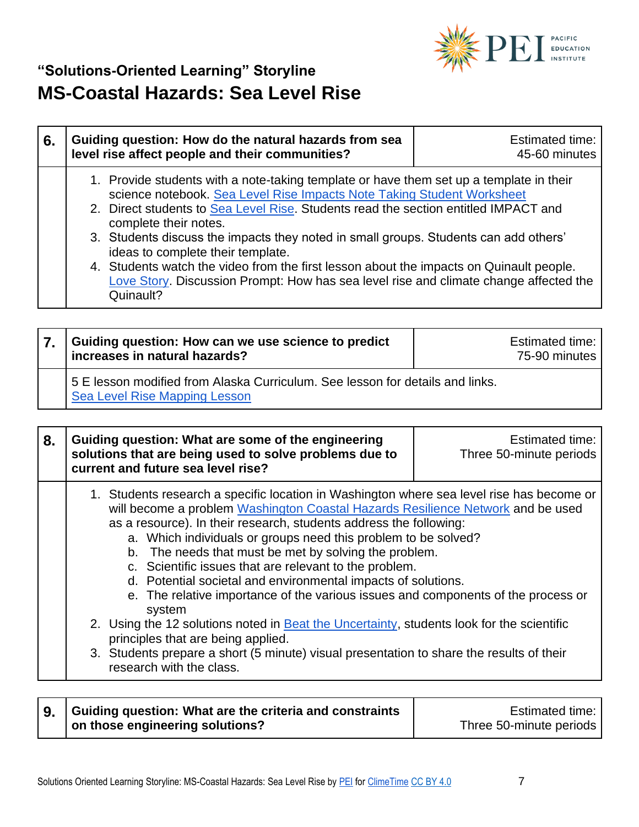

| <b>Estimated time:</b><br>45-60 minutes                                                                                                                                                                                                                                                                                                                                                                                                                                                                                              |
|--------------------------------------------------------------------------------------------------------------------------------------------------------------------------------------------------------------------------------------------------------------------------------------------------------------------------------------------------------------------------------------------------------------------------------------------------------------------------------------------------------------------------------------|
| 1. Provide students with a note-taking template or have them set up a template in their<br>science notebook. Sea Level Rise Impacts Note Taking Student Worksheet<br>2. Direct students to Sea Level Rise. Students read the section entitled IMPACT and<br>3. Students discuss the impacts they noted in small groups. Students can add others'<br>4. Students watch the video from the first lesson about the impacts on Quinault people.<br>Love Story. Discussion Prompt: How has sea level rise and climate change affected the |
|                                                                                                                                                                                                                                                                                                                                                                                                                                                                                                                                      |

| Guiding question: How can we use science to predict<br>increases in natural hazards?                           | Estimated time:<br>75-90 minutes |
|----------------------------------------------------------------------------------------------------------------|----------------------------------|
| 5 E lesson modified from Alaska Curriculum. See lesson for details and links.<br>Sea Level Rise Mapping Lesson |                                  |

| will become a problem Washington Coastal Hazards Resilience Network and be used<br>as a resource). In their research, students address the following:<br>a. Which individuals or groups need this problem to be solved?<br>b. The needs that must be met by solving the problem.<br>c. Scientific issues that are relevant to the problem.<br>d. Potential societal and environmental impacts of solutions.<br>e. The relative importance of the various issues and components of the process or<br>system<br>2. Using the 12 solutions noted in Beat the Uncertainty, students look for the scientific<br>principles that are being applied. | 8. | Guiding question: What are some of the engineering<br><b>Estimated time:</b><br>solutions that are being used to solve problems due to<br>Three 50-minute periods<br>current and future sea level rise? |
|-----------------------------------------------------------------------------------------------------------------------------------------------------------------------------------------------------------------------------------------------------------------------------------------------------------------------------------------------------------------------------------------------------------------------------------------------------------------------------------------------------------------------------------------------------------------------------------------------------------------------------------------------|----|---------------------------------------------------------------------------------------------------------------------------------------------------------------------------------------------------------|
| 3. Students prepare a short (5 minute) visual presentation to share the results of their<br>research with the class.                                                                                                                                                                                                                                                                                                                                                                                                                                                                                                                          |    | 1. Students research a specific location in Washington where sea level rise has become or                                                                                                               |

| 9. Guiding question: What are the criteria and constraints | <b>Estimated time:</b>  |
|------------------------------------------------------------|-------------------------|
| on those engineering solutions?                            | Three 50-minute periods |